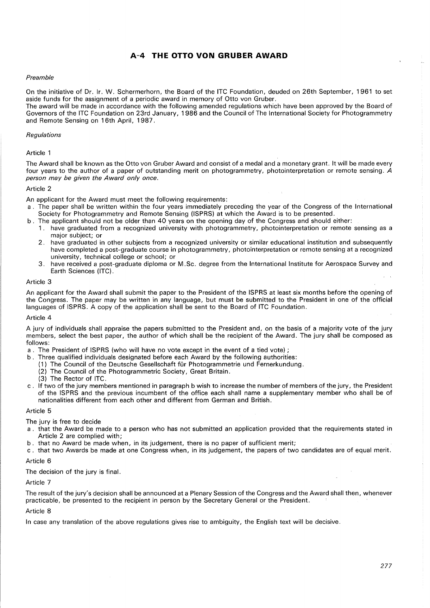# **A-4 THE OTTO VON GRUBER AWARD**

# *Preamble*

On the initiative of Dr. Ir. W. Schermerhorn, the Board of the ITC Foundation, deuded on 26th September, 1961 to set aside funds for the assignment of a periodic award in memory of Otto von Gruber.

The award will be made in accordance with the following amended regulations which have been approved by the Board of Governors of the ITC Foundation on 23rd January, 1986 and the Council of The International Society for Photogrammetry and Remote Sensing on 16th April, 1987.

### *Regulations*

## Article 1

The Award shall be known as the Otto von Gruber Award and consist of a medal and a monetary grant. It will be made every four years to the author of a paper of outstanding merit on photogrammetry, photointerpretation or remote sensing.  $\dot{A}$ *person may be given the Award only once.* 

#### Article 2

An applicant for the Award must meet the following requirements:

- a . The paper shall be written within the four years immediately preceding the year of the Congress of the International Society for Photogrammetry and Remote Sensing (ISPRS) at which the Award is to be presented.
- b . The applicant should not be older than 40 years on the opening day of the Congress and should either:
	- 1. have graduated from a recognized university with photogrammetry, photointerpretation or remote sensing as a major subject; or
	- 2. have graduated in other subjects from a recognized university or similar educational institution and subsequently have completed a post-graduate course in photogrammetry, photointerpretation or remote sensing at a recognized university, technical college or school; or
	- 3. have received a post-graduate diploma or M.Sc. degree from the International Institute for Aerospace Survey and Earth Sciences (ITC).

#### Article 3

An applicant for the Award shall submit the paper to the President of the ISPRS at least six months before the opening of the Congress. The paper may be written in any language, but must be submitted to the President in one of the official languages of ISPRS. A copy of the application shall be sent to the Board of ITC Foundation.

#### Article 4

A jury of individuals shall appraise the papers submitted to the President and, on the basis of a majority vote of the jury members, select the best paper, the author of which shall be the recipient of the Award. The jury shall be composed as follows:

- a. The President of ISPRS (who will have no vote except in the event of a tied vote) ;
- b. Three qualified individuals designated before each Award by the following authorities:
	- (1) The Council of the Deutsche Gesellschaft für Photogrammetrie und Fernerkundung.
	- (2) The Council of the Photogrammetric Society, Great Britain.
	- (3) The Rector of ITC.
- c . If two of the jury members mentioned in paragraph b wish to increase the number of members of the jury, the President of the ISPRS and the previous incumbent of the office each shall name a supplementary member who shall be of nationalities different from each other and different from German and British.

## Article 5

The jury is free to decide

- a . that the Award be made to a person who has not submitted an application provided that the requirements stated in Article 2 are complied with;
- b. that no Award be made when, in its judgement, there is no paper of sufficient merit;
- c. that two Awards be made at one Congress when, in its judgement, the papers of two candidates are of equal merit.

# Article 6

The decision of the jury is final.

#### Article 7

The result of the jury's decision shall be announced at a Plenary Session of the Congress and the Award shall then, whenever practicable, be presented to the recipient in person by the Secretary General or the President.

#### Article 8

In case any translation of the above regulations gives rise to ambiguity, the English text will be decisive.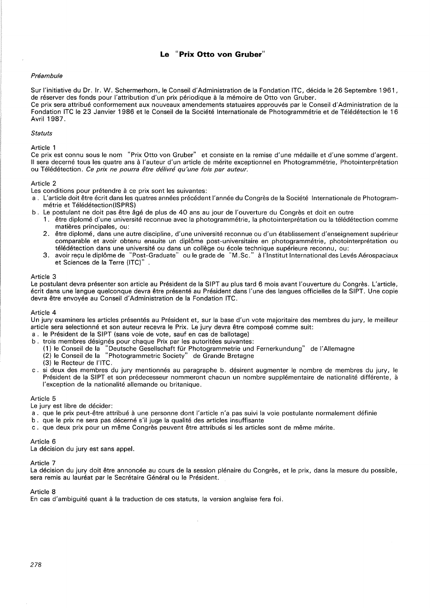# **Le "Prix Otto von Gruber"**

# Préambule

Sur !'initiative du Dr. Ir. W. Schermerhorn, le Conseil d'Administration de la Fondation ITC, decida le 26 Septembre 1961, de réserver des fonds pour l'attribution d'un prix périodique à la mémoire de Otto von Gruber. Ce prix sera attribué conformement aux nouveaux amendements statuaires approuvés par le Conseil d'Administration de la Fondation ITC le 23 Janvier 1986 et le Conseil de la Societe Internationale de Photogrammetrie et de Teledetection le 16 Avril 1987.

#### **Statuts**

Article 1

Ce prix est connu sous le nom "Prix Otto von Gruber" et consiste en la remise d'une medaille et d'une somme d'argent. II sera decerné tous les quatre ans à l'auteur d'un article de mérite exceptionnel en Photogrammétrie, Photointerprétation ou Télédétection. Ce prix ne pourra être délivré qu'une fois par auteur.

## Article 2

Les conditions pour prétendre à ce prix sont les suivantes:

- a. L'article doit être écrit dans les quatres années précédent l'année du Congrès de la Société Internationale de Photogrammétrie et Télédétection(ISPRS)
- b. Le postulant ne doit pas être âgé de plus de 40 ans au jour de l'ouverture du Congrès et doit en outre
	- 1. etre diplome d'une universite reconnue avec la photogrammetrie, la photointerpretation ou la teledetection comme matières principales, ou:
	- 2. etre diplome, dans une autre discipline, d'une universite reconnue ou d'un etablissement d'enseignement superieur comparable et avoir obtenu ensuite un diplôme post-universitaire en photogrammétrie, photointerprétation ou
	- télédétection dans une université ou dans un collège ou école technique supérieure reconnu, ou:<br>3. avoir reçu le diplôme de "Post-Graduate" ou le grade de "M.Sc." à l'Institut International des Levés Aérospaciaux et Sciences de la Terre (ITC)"

## Article 3

Le postulant devra présenter son article au Président de la SIPT au plus tard 6 mois avant l'ouverture du Congrès. L'article, ecrit dans une langue quelconque devra etre presente au President dans l'une des langues officielles de la SIPT. Une copie devra être envoyée au Conseil d'Administration de la Fondation ITC.

#### Article 4

Un jury examinera les articles présentés au Président et, sur la base d'un vote majoritaire des membres du jury, le meilleur article sera selectionne et son auteur recevra le Prix. Le jury devra etre compose comme suit:

- a. le President de la SIPT (sans voie de vote, sauf en cas de ballotage)
- b. trois membres désignés pour chaque Prix par les autoritées suivantes:
- "Deutsche Gesellschaft für Photogrammetrie und Fernerkundung" de l'Allemagne (2) le Conseil de la "Photogrammetric Society" de Grande Bretagne
	- (3) le Recteur de l'ITC.
- c. si deux des membres du jury mentionnés au paragraphe b. désirent augmenter le nombre de membres du jury, le Président de la SIPT et son prédecesseur nommeront chacun un nombre supplémentaire de nationalité différente, à l'exception de la nationalité allemande ou britanique.

## Article 5

Le jury est libre de décider:

- a. que le prix peut-être attribué à une personne dont l'article n'a pas suivi la voie postulante normalement définie
- b . que le prix ne sera pas decerne s'il juge la qualite des articles insuffisante
- c. que deux prix pour un même Congrès peuvent être attribués si les articles sont de même mérite.

Article 6

La décision du jury est sans appel.

Article 7

La décision du jury doit être annoncée au cours de la session plénaire du Congrès, et le prix, dans la mesure du possible, sera remis au lauréat par le Secrétaire Général ou le Président.

## Article 8

En cas d'ambiguité quant à la traduction de ces statuts, la version anglaise fera foi.